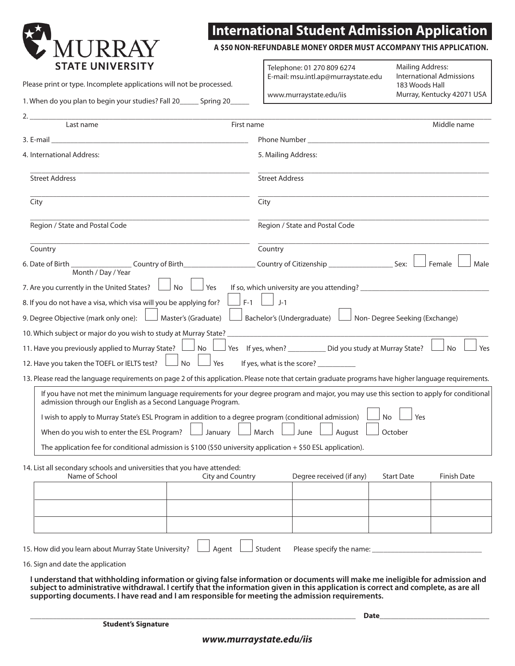

## **International Student Admission Application**

**A \$50 NON-REFUNDABLE money order MUST ACCOMPANY THIS application .**

Please print or type. Incomplete applications will not be processed.

1. When do you plan to begin your studies? Fall 20\_\_\_\_\_ Spring 20\_\_\_\_\_

www.murraystate.edu/iis

Telephone: 01 270 809 6274 E-mail: msu.intl.ap@murraystate.edu

Mailing Address: International Admissions 183 Woods Hall Murray, Kentucky 42071 USA

| 2.<br>Last name                                                                                                              | Middle name<br>First name                                                                                                                              |  |
|------------------------------------------------------------------------------------------------------------------------------|--------------------------------------------------------------------------------------------------------------------------------------------------------|--|
| 3. E-mail                                                                                                                    | Phone Number                                                                                                                                           |  |
| 4. International Address:                                                                                                    | 5. Mailing Address:                                                                                                                                    |  |
| <b>Street Address</b>                                                                                                        | <b>Street Address</b>                                                                                                                                  |  |
| City                                                                                                                         | City                                                                                                                                                   |  |
| Region / State and Postal Code                                                                                               | Region / State and Postal Code                                                                                                                         |  |
| Country                                                                                                                      | Country                                                                                                                                                |  |
| 6. Date of Birth ______________________ Country of Birth_<br>Month / Day / Year                                              | Female<br>Male                                                                                                                                         |  |
| 7. Are you currently in the United States?<br><b>No</b><br>Yes                                                               |                                                                                                                                                        |  |
| 8. If you do not have a visa, which visa will you be applying for?                                                           | $F-1$<br>$J-1$                                                                                                                                         |  |
| 9. Degree Objective (mark only one): $\Box$ Master's (Graduate)                                                              | Bachelor's (Undergraduate) l<br>$\Box$ Non- Degree Seeking (Exchange)                                                                                  |  |
| 10. Which subject or major do you wish to study at Murray State?                                                             |                                                                                                                                                        |  |
| 11. Have you previously applied to Murray State?<br>No                                                                       | Yes If yes, when? ___________ Did you study at Murray State?<br>No<br>Yes                                                                              |  |
| 12. Have you taken the TOEFL or IELTS test?<br>Yes<br>No                                                                     | If yes, what is the score? __________                                                                                                                  |  |
|                                                                                                                              |                                                                                                                                                        |  |
|                                                                                                                              | 13. Please read the language requirements on page 2 of this application. Please note that certain graduate programs have higher language requirements. |  |
| admission through our English as a Second Language Program.                                                                  | If you have not met the minimum language requirements for your degree program and major, you may use this section to apply for conditional             |  |
| I wish to apply to Murray State's ESL Program in addition to a degree program (conditional admission)                        | No<br>Yes                                                                                                                                              |  |
| When do you wish to enter the ESL Program?<br>January                                                                        | $\perp$ March<br>August<br>October<br>June                                                                                                             |  |
| The application fee for conditional admission is \$100 (\$50 university application $+$ \$50 ESL application).               |                                                                                                                                                        |  |
|                                                                                                                              |                                                                                                                                                        |  |
| 14. List all secondary schools and universities that you have attended:<br>Name of School<br>City and Country                | Degree received (if any)<br><b>Start Date</b><br>Finish Date                                                                                           |  |
|                                                                                                                              |                                                                                                                                                        |  |
|                                                                                                                              |                                                                                                                                                        |  |
|                                                                                                                              |                                                                                                                                                        |  |
|                                                                                                                              |                                                                                                                                                        |  |
| 15. How did you learn about Murray State University?<br>Agent                                                                | Student<br>Please specify the name:                                                                                                                    |  |
| 16. Sign and date the application                                                                                            |                                                                                                                                                        |  |
| I understand that withholding information or giving false information or documents will make me ineligible for admission and |                                                                                                                                                        |  |

**supporting documents. I have read and I am responsible for meeting the admission requirements.**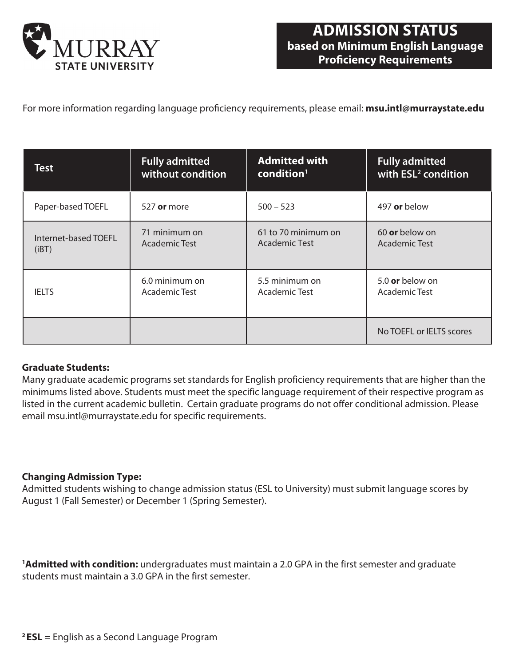

For more information regarding language proficiency requirements, please email: **msu.intl@murraystate.edu**

| <b>Test</b>          | <b>Fully admitted</b> | <b>Admitted with</b>   | <b>Fully admitted</b>           |
|----------------------|-----------------------|------------------------|---------------------------------|
|                      | without condition     | $\mathbf{condition}^1$ | with ESL <sup>2</sup> condition |
| Paper-based TOEFL    | 527 or more           | $500 - 523$            | 497 or below                    |
| Internet-based TOEFL | 71 minimum on         | 61 to 70 minimum on    | 60 or below on                  |
| (iBT)                | Academic Test         | <b>Academic Test</b>   | Academic Test                   |
| <b>IELTS</b>         | 6.0 minimum on        | 5.5 minimum on         | 5.0 or below on                 |
|                      | Academic Test         | Academic Test          | Academic Test                   |
|                      |                       |                        | No TOEFL or IELTS scores        |

### **Graduate Students:**

Many graduate academic programs set standards for English proficiency requirements that are higher than the minimums listed above. Students must meet the specific language requirement of their respective program as listed in the current academic bulletin. Certain graduate programs do not offer conditional admission. Please email msu.intl@murraystate.edu for specific requirements.

### **Changing Admission Type:**

Admitted students wishing to change admission status (ESL to University) must submit language scores by August 1 (Fall Semester) or December 1 (Spring Semester).

**<sup>1</sup>Admitted with condition:** undergraduates must maintain a 2.0 GPA in the first semester and graduate students must maintain a 3.0 GPA in the first semester.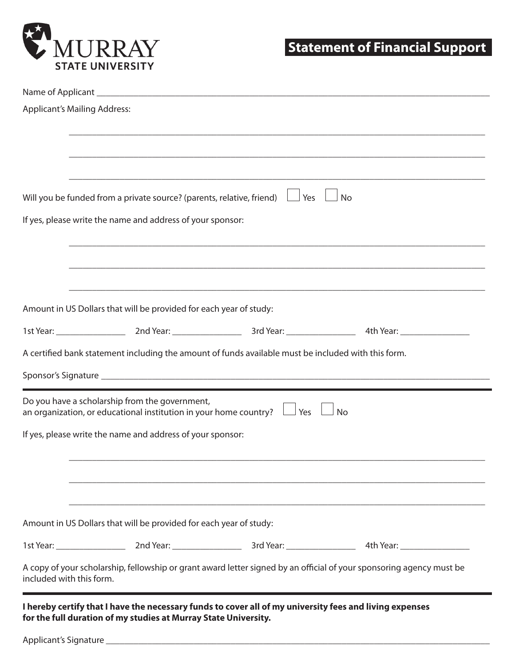

# **Statement of Financial Support**

| <b>Applicant's Mailing Address:</b>                                |                                                                                                         |                                                                                                                                                                                                                                |
|--------------------------------------------------------------------|---------------------------------------------------------------------------------------------------------|--------------------------------------------------------------------------------------------------------------------------------------------------------------------------------------------------------------------------------|
|                                                                    |                                                                                                         |                                                                                                                                                                                                                                |
|                                                                    |                                                                                                         |                                                                                                                                                                                                                                |
|                                                                    |                                                                                                         |                                                                                                                                                                                                                                |
|                                                                    |                                                                                                         |                                                                                                                                                                                                                                |
|                                                                    | Will you be funded from a private source? (parents, relative, friend) $\Box$ Yes $\Box$ No              |                                                                                                                                                                                                                                |
| If yes, please write the name and address of your sponsor:         |                                                                                                         |                                                                                                                                                                                                                                |
|                                                                    |                                                                                                         |                                                                                                                                                                                                                                |
|                                                                    |                                                                                                         |                                                                                                                                                                                                                                |
|                                                                    |                                                                                                         |                                                                                                                                                                                                                                |
| Amount in US Dollars that will be provided for each year of study: |                                                                                                         |                                                                                                                                                                                                                                |
|                                                                    |                                                                                                         | 1st Year: 15t Year: 2nd Year: 2000 Year: 2000 3rd Year: 2000 2000 4th Year: 2000 2000 2000 2000 3rd Year: 2000                                                                                                                 |
|                                                                    | A certified bank statement including the amount of funds available must be included with this form.     |                                                                                                                                                                                                                                |
|                                                                    |                                                                                                         |                                                                                                                                                                                                                                |
|                                                                    |                                                                                                         |                                                                                                                                                                                                                                |
| Do you have a scholarship from the government,                     | an organization, or educational institution in your home country? $\Box$ Yes $\Box$                     | <b>No</b>                                                                                                                                                                                                                      |
| If yes, please write the name and address of your sponsor:         |                                                                                                         |                                                                                                                                                                                                                                |
|                                                                    |                                                                                                         |                                                                                                                                                                                                                                |
|                                                                    |                                                                                                         |                                                                                                                                                                                                                                |
|                                                                    |                                                                                                         |                                                                                                                                                                                                                                |
| Amount in US Dollars that will be provided for each year of study: |                                                                                                         |                                                                                                                                                                                                                                |
|                                                                    |                                                                                                         | 1st Year: 15t Year: 2nd Year: 2000 Year: 2000 3rd Year: 2000 2000 3rd Year: 2000 2000 3rd Year: 2000 2000 3rd Year: 2000 2000 3rd Year: 2000 2000 3rd Year: 2000 2000 3rd Year: 2000 2000 3rd Year: 2000 2000 3rd Year: 2000 3 |
| included with this form.                                           |                                                                                                         | A copy of your scholarship, fellowship or grant award letter signed by an official of your sponsoring agency must be                                                                                                           |
|                                                                    | I hereby certify that I have the necessary funds to cover all of my university fees and living expenses |                                                                                                                                                                                                                                |

Applicant's Signature \_\_\_\_\_\_\_\_\_\_\_\_\_\_\_\_\_\_\_\_\_\_\_\_\_\_\_\_\_\_\_\_\_\_\_\_\_\_\_\_\_\_\_\_\_\_\_\_\_\_\_\_\_\_\_\_\_\_\_\_\_\_\_\_\_\_\_\_\_\_\_\_\_\_\_\_\_\_\_\_\_\_\_